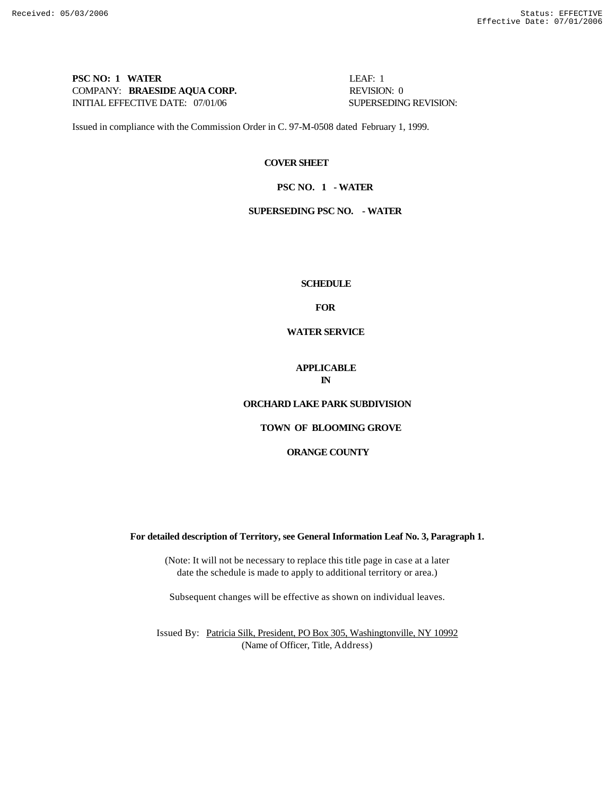## **PSC NO: 1 WATER LEAF: 1** COMPANY: **BRAESIDE AQUA CORP.** REVISION: 0 INITIAL EFFECTIVE DATE: 07/01/06 SUPERSEDING REVISION:

Issued in compliance with the Commission Order in C. 97-M-0508 dated February 1, 1999.

### **COVER SHEET**

### **PSC NO. 1 - WATER**

## **SUPERSEDING PSC NO. - WATER**

#### **SCHEDULE**

**FOR**

## **WATER SERVICE**

#### **APPLICABLE IN**

## **ORCHARD LAKE PARK SUBDIVISION**

# **TOWN OF BLOOMING GROVE**

### **ORANGE COUNTY**

#### **For detailed description of Territory, see General Information Leaf No. 3, Paragraph 1.**

(Note: It will not be necessary to replace this title page in case at a later date the schedule is made to apply to additional territory or area.)

Subsequent changes will be effective as shown on individual leaves.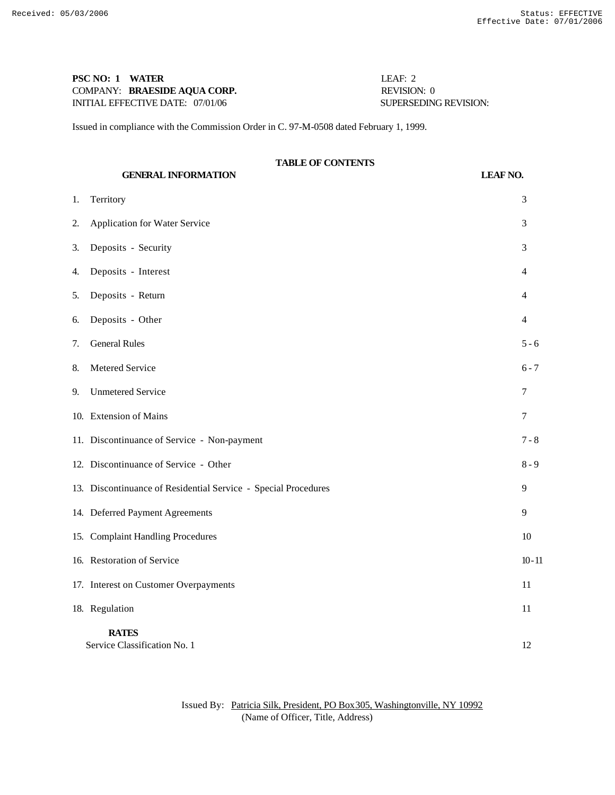## **PSC NO: 1 WATER** LEAF: 2 COMPANY: **BRAESIDE AQUA CORP.** REVISION: 0 INITIAL EFFECTIVE DATE: 07/01/06 SUPERSEDING REVISION:

Issued in compliance with the Commission Order in C. 97-M-0508 dated February 1, 1999.

# **TABLE OF CONTENTS**

**GENERAL INFORMATION LEAF NO.** 1. Territory 3 2. Application for Water Service 3 3. Deposits - Security 3 4. Deposits - Interest 4 5. Deposits - Return 4 6. Deposits - Other 4 7. General Rules 5 - 6 8. Metered Service 6 - 7 9. Unmetered Service 7 10. Extension of Mains 7 11. Discontinuance of Service - Non-payment 7 - 8 12. Discontinuance of Service - Other 8 - 9 13. Discontinuance of Residential Service - Special Procedures 9 14. Deferred Payment Agreements 9 15. Complaint Handling Procedures 10 16. Restoration of Service 10 - 11 17. Interest on Customer Overpayments 11 18. Regulation 11 **RATES** Service Classification No. 1 12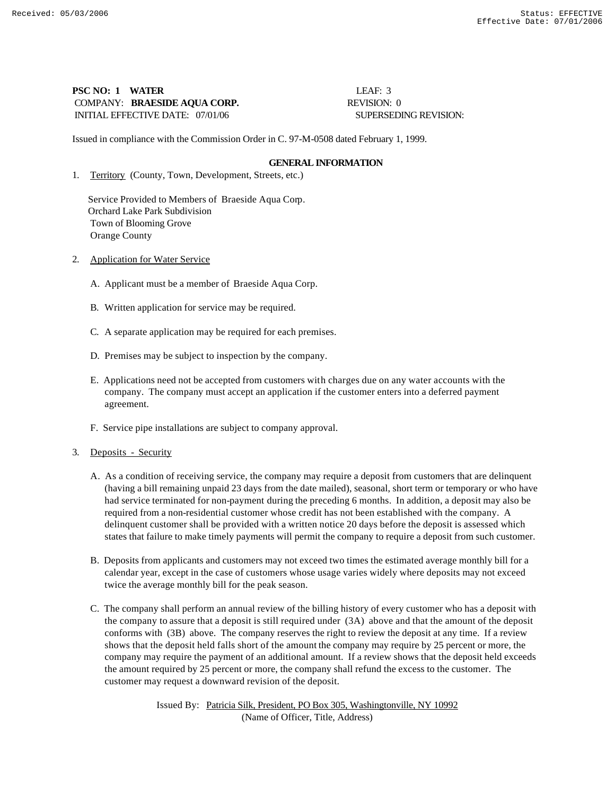## **PSC NO: 1 WATER LEAF: 3** COMPANY: **BRAESIDE AQUA CORP.** REVISION: 0 INITIAL EFFECTIVE DATE: 07/01/06 SUPERSEDING REVISION:

Issued in compliance with the Commission Order in C. 97-M-0508 dated February 1, 1999.

## **GENERAL INFORMATION**

1. Territory (County, Town, Development, Streets, etc.)

 Service Provided to Members of Braeside Aqua Corp. Orchard Lake Park Subdivision Town of Blooming Grove Orange County

- 2. Application for Water Service
	- A. Applicant must be a member of Braeside Aqua Corp.
	- B. Written application for service may be required.
	- C. A separate application may be required for each premises.
	- D. Premises may be subject to inspection by the company.
	- E. Applications need not be accepted from customers with charges due on any water accounts with the company. The company must accept an application if the customer enters into a deferred payment agreement.
	- F. Service pipe installations are subject to company approval.
- 3. Deposits Security
	- A. As a condition of receiving service, the company may require a deposit from customers that are delinquent (having a bill remaining unpaid 23 days from the date mailed), seasonal, short term or temporary or who have had service terminated for non-payment during the preceding 6 months. In addition, a deposit may also be required from a non-residential customer whose credit has not been established with the company. A delinquent customer shall be provided with a written notice 20 days before the deposit is assessed which states that failure to make timely payments will permit the company to require a deposit from such customer.
	- B. Deposits from applicants and customers may not exceed two times the estimated average monthly bill for a calendar year, except in the case of customers whose usage varies widely where deposits may not exceed twice the average monthly bill for the peak season.
	- C. The company shall perform an annual review of the billing history of every customer who has a deposit with the company to assure that a deposit is still required under (3A) above and that the amount of the deposit conforms with (3B) above. The company reserves the right to review the deposit at any time. If a review shows that the deposit held falls short of the amount the company may require by 25 percent or more, the company may require the payment of an additional amount. If a review shows that the deposit held exceeds the amount required by 25 percent or more, the company shall refund the excess to the customer. The customer may request a downward revision of the deposit.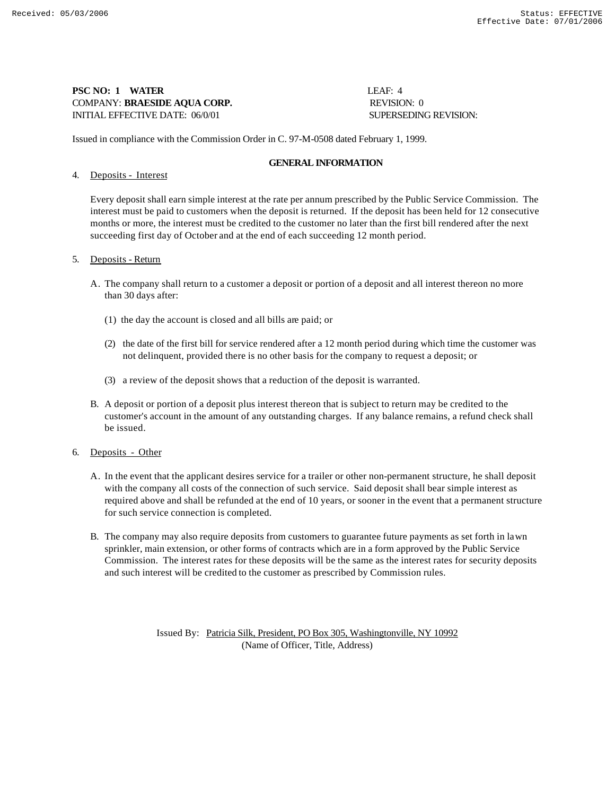## **PSC NO: 1 WATER LEAF: 4** COMPANY: **BRAESIDE AQUA CORP.** REVISION: 0 INITIAL EFFECTIVE DATE: 06/0/01 SUPERSEDING REVISION:

Issued in compliance with the Commission Order in C. 97-M-0508 dated February 1, 1999.

## **GENERAL INFORMATION**

## 4. Deposits - Interest

Every deposit shall earn simple interest at the rate per annum prescribed by the Public Service Commission. The interest must be paid to customers when the deposit is returned. If the deposit has been held for 12 consecutive months or more, the interest must be credited to the customer no later than the first bill rendered after the next succeeding first day of October and at the end of each succeeding 12 month period.

## 5. Deposits - Return

- A. The company shall return to a customer a deposit or portion of a deposit and all interest thereon no more than 30 days after:
	- (1) the day the account is closed and all bills are paid; or
	- (2) the date of the first bill for service rendered after a 12 month period during which time the customer was not delinquent, provided there is no other basis for the company to request a deposit; or
	- (3) a review of the deposit shows that a reduction of the deposit is warranted.
- B. A deposit or portion of a deposit plus interest thereon that is subject to return may be credited to the customer's account in the amount of any outstanding charges. If any balance remains, a refund check shall be issued.
- 6. Deposits Other
	- A. In the event that the applicant desires service for a trailer or other non-permanent structure, he shall deposit with the company all costs of the connection of such service. Said deposit shall bear simple interest as required above and shall be refunded at the end of 10 years, or sooner in the event that a permanent structure for such service connection is completed.
	- B. The company may also require deposits from customers to guarantee future payments as set forth in lawn sprinkler, main extension, or other forms of contracts which are in a form approved by the Public Service Commission. The interest rates for these deposits will be the same as the interest rates for security deposits and such interest will be credited to the customer as prescribed by Commission rules.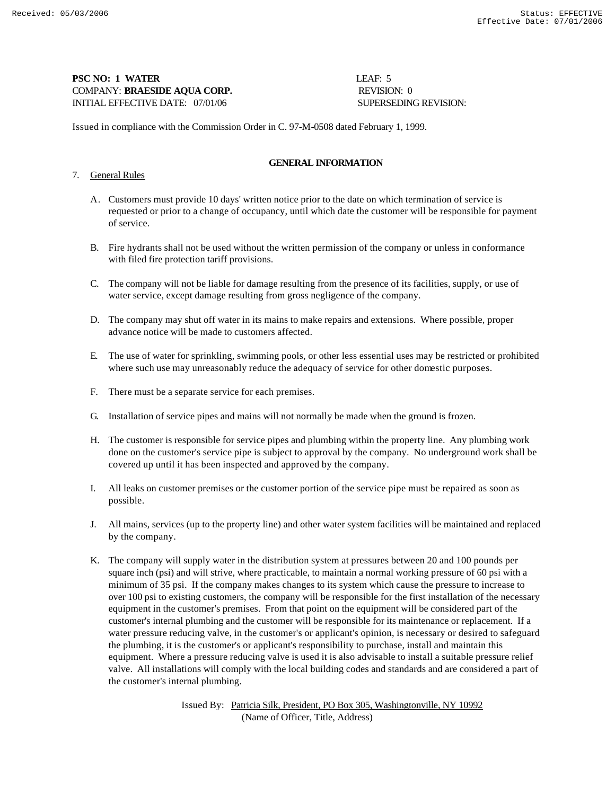**PSC NO: 1 WATER** LEAF: 5 COMPANY: **BRAESIDE AQUA CORP.** REVISION: 0 INITIAL EFFECTIVE DATE: 07/01/06 SUPERSEDING REVISION:

Issued in compliance with the Commission Order in C. 97-M-0508 dated February 1, 1999.

## **GENERAL INFORMATION**

## 7. General Rules

- A. Customers must provide 10 days' written notice prior to the date on which termination of service is requested or prior to a change of occupancy, until which date the customer will be responsible for payment of service.
- B. Fire hydrants shall not be used without the written permission of the company or unless in conformance with filed fire protection tariff provisions.
- C. The company will not be liable for damage resulting from the presence of its facilities, supply, or use of water service, except damage resulting from gross negligence of the company.
- D. The company may shut off water in its mains to make repairs and extensions. Where possible, proper advance notice will be made to customers affected.
- E. The use of water for sprinkling, swimming pools, or other less essential uses may be restricted or prohibited where such use may unreasonably reduce the adequacy of service for other domestic purposes.
- F. There must be a separate service for each premises.
- G. Installation of service pipes and mains will not normally be made when the ground is frozen.
- H. The customer is responsible for service pipes and plumbing within the property line. Any plumbing work done on the customer's service pipe is subject to approval by the company. No underground work shall be covered up until it has been inspected and approved by the company.
- I. All leaks on customer premises or the customer portion of the service pipe must be repaired as soon as possible.
- J. All mains, services (up to the property line) and other water system facilities will be maintained and replaced by the company.
- K. The company will supply water in the distribution system at pressures between 20 and 100 pounds per square inch (psi) and will strive, where practicable, to maintain a normal working pressure of 60 psi with a minimum of 35 psi. If the company makes changes to its system which cause the pressure to increase to over 100 psi to existing customers, the company will be responsible for the first installation of the necessary equipment in the customer's premises. From that point on the equipment will be considered part of the customer's internal plumbing and the customer will be responsible for its maintenance or replacement. If a water pressure reducing valve, in the customer's or applicant's opinion, is necessary or desired to safeguard the plumbing, it is the customer's or applicant's responsibility to purchase, install and maintain this equipment. Where a pressure reducing valve is used it is also advisable to install a suitable pressure relief valve. All installations will comply with the local building codes and standards and are considered a part of the customer's internal plumbing.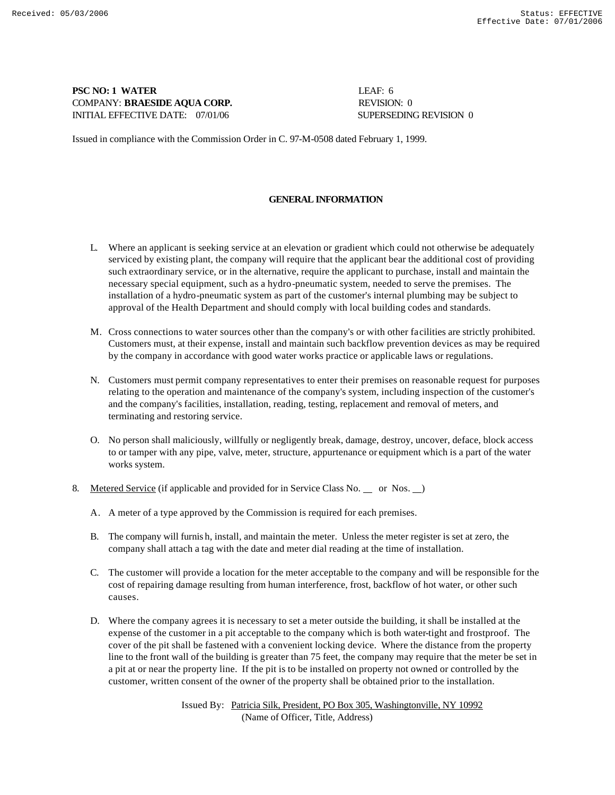## **PSC NO: 1 WATER** LEAF: 6 **COMPANY: BRAESIDE AQUA CORP.** REVISION: 0 INITIAL EFFECTIVE DATE:  $07/01/06$  SUPERSEDING REVISION 0

Issued in compliance with the Commission Order in C. 97-M-0508 dated February 1, 1999.

## **GENERAL INFORMATION**

- L. Where an applicant is seeking service at an elevation or gradient which could not otherwise be adequately serviced by existing plant, the company will require that the applicant bear the additional cost of providing such extraordinary service, or in the alternative, require the applicant to purchase, install and maintain the necessary special equipment, such as a hydro-pneumatic system, needed to serve the premises. The installation of a hydro-pneumatic system as part of the customer's internal plumbing may be subject to approval of the Health Department and should comply with local building codes and standards.
- M. Cross connections to water sources other than the company's or with other facilities are strictly prohibited. Customers must, at their expense, install and maintain such backflow prevention devices as may be required by the company in accordance with good water works practice or applicable laws or regulations.
- N. Customers must permit company representatives to enter their premises on reasonable request for purposes relating to the operation and maintenance of the company's system, including inspection of the customer's and the company's facilities, installation, reading, testing, replacement and removal of meters, and terminating and restoring service.
- O. No person shall maliciously, willfully or negligently break, damage, destroy, uncover, deface, block access to or tamper with any pipe, valve, meter, structure, appurtenance or equipment which is a part of the water works system.
- 8. Metered Service (if applicable and provided for in Service Class No. \_ or Nos. \_)
	- A. A meter of a type approved by the Commission is required for each premises.
	- B. The company will furnis h, install, and maintain the meter. Unless the meter register is set at zero, the company shall attach a tag with the date and meter dial reading at the time of installation.
	- C. The customer will provide a location for the meter acceptable to the company and will be responsible for the cost of repairing damage resulting from human interference, frost, backflow of hot water, or other such causes.
	- D. Where the company agrees it is necessary to set a meter outside the building, it shall be installed at the expense of the customer in a pit acceptable to the company which is both water-tight and frostproof. The cover of the pit shall be fastened with a convenient locking device. Where the distance from the property line to the front wall of the building is greater than 75 feet, the company may require that the meter be set in a pit at or near the property line. If the pit is to be installed on property not owned or controlled by the customer, written consent of the owner of the property shall be obtained prior to the installation.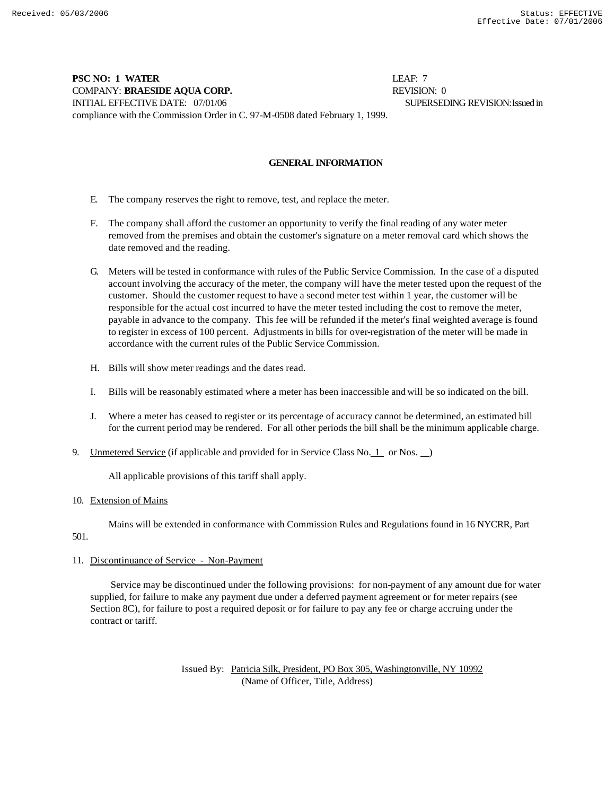## **PSC NO: 1 WATER LEAF: 7** COMPANY: **BRAESIDE AQUA CORP.** REVISION: 0 INITIAL EFFECTIVE DATE: 07/01/06 SUPERSEDING REVISION: Issued in compliance with the Commission Order in C. 97-M-0508 dated February 1, 1999.

## **GENERAL INFORMATION**

- E. The company reserves the right to remove, test, and replace the meter.
- F. The company shall afford the customer an opportunity to verify the final reading of any water meter removed from the premises and obtain the customer's signature on a meter removal card which shows the date removed and the reading.
- G. Meters will be tested in conformance with rules of the Public Service Commission. In the case of a disputed account involving the accuracy of the meter, the company will have the meter tested upon the request of the customer. Should the customer request to have a second meter test within 1 year, the customer will be responsible for the actual cost incurred to have the meter tested including the cost to remove the meter, payable in advance to the company. This fee will be refunded if the meter's final weighted average is found to register in excess of 100 percent. Adjustments in bills for over-registration of the meter will be made in accordance with the current rules of the Public Service Commission.
- H. Bills will show meter readings and the dates read.
- I. Bills will be reasonably estimated where a meter has been inaccessible and will be so indicated on the bill.
- J. Where a meter has ceased to register or its percentage of accuracy cannot be determined, an estimated bill for the current period may be rendered. For all other periods the bill shall be the minimum applicable charge.
- 9. Unmetered Service (if applicable and provided for in Service Class No. 1 or Nos.  $\Box$ )

All applicable provisions of this tariff shall apply.

#### 10. Extension of Mains

Mains will be extended in conformance with Commission Rules and Regulations found in 16 NYCRR, Part

## 501.

## 11. Discontinuance of Service - Non-Payment

 Service may be discontinued under the following provisions: for non-payment of any amount due for water supplied, for failure to make any payment due under a deferred payment agreement or for meter repairs (see Section 8C), for failure to post a required deposit or for failure to pay any fee or charge accruing under the contract or tariff.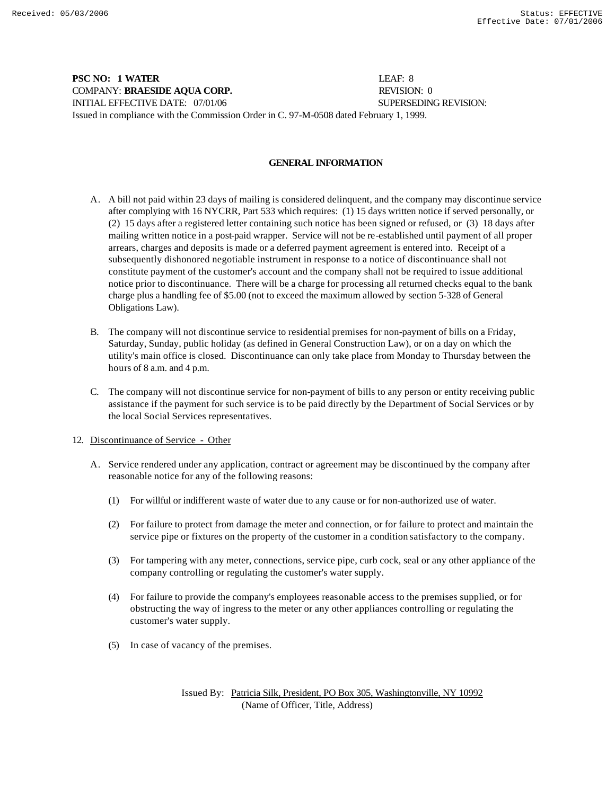**PSC NO: 1 WATER** LEAF: 8 COMPANY: **BRAESIDE AQUA CORP.** REVISION: 0 INITIAL EFFECTIVE DATE: 07/01/06 SUPERSEDING REVISION: Issued in compliance with the Commission Order in C. 97-M-0508 dated February 1, 1999.

## **GENERAL INFORMATION**

- A. A bill not paid within 23 days of mailing is considered delinquent, and the company may discontinue service after complying with 16 NYCRR, Part 533 which requires: (1) 15 days written notice if served personally, or (2) 15 days after a registered letter containing such notice has been signed or refused, or (3) 18 days after mailing written notice in a post-paid wrapper. Service will not be re-established until payment of all proper arrears, charges and deposits is made or a deferred payment agreement is entered into. Receipt of a subsequently dishonored negotiable instrument in response to a notice of discontinuance shall not constitute payment of the customer's account and the company shall not be required to issue additional notice prior to discontinuance. There will be a charge for processing all returned checks equal to the bank charge plus a handling fee of \$5.00 (not to exceed the maximum allowed by section 5-328 of General Obligations Law).
- B. The company will not discontinue service to residential premises for non-payment of bills on a Friday, Saturday, Sunday, public holiday (as defined in General Construction Law), or on a day on which the utility's main office is closed. Discontinuance can only take place from Monday to Thursday between the hours of 8 a.m. and 4 p.m.
- C. The company will not discontinue service for non-payment of bills to any person or entity receiving public assistance if the payment for such service is to be paid directly by the Department of Social Services or by the local Social Services representatives.
- 12. Discontinuance of Service Other
	- A. Service rendered under any application, contract or agreement may be discontinued by the company after reasonable notice for any of the following reasons:
		- (1) For willful or indifferent waste of water due to any cause or for non-authorized use of water.
		- (2) For failure to protect from damage the meter and connection, or for failure to protect and maintain the service pipe or fixtures on the property of the customer in a condition satisfactory to the company.
		- (3) For tampering with any meter, connections, service pipe, curb cock, seal or any other appliance of the company controlling or regulating the customer's water supply.
		- (4) For failure to provide the company's employees reasonable access to the premises supplied, or for obstructing the way of ingress to the meter or any other appliances controlling or regulating the customer's water supply.
		- (5) In case of vacancy of the premises.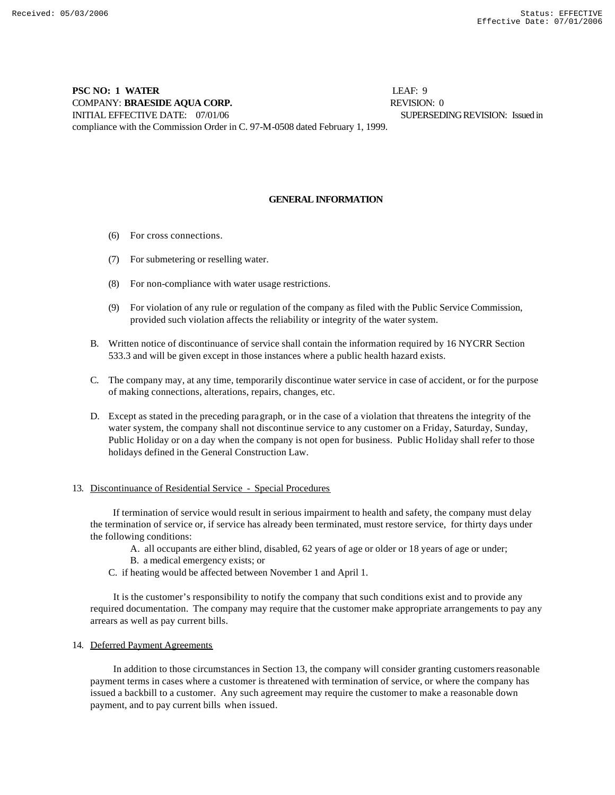## **PSC NO: 1 WATER** LEAF: 9 COMPANY: **BRAESIDE AQUA CORP.** REVISION: 0 INITIAL EFFECTIVE DATE: 07/01/06 SUPERSEDING REVISION: Issued in compliance with the Commission Order in C. 97-M-0508 dated February 1, 1999.

## **GENERAL INFORMATION**

- (6) For cross connections.
- (7) For submetering or reselling water.
- (8) For non-compliance with water usage restrictions.
- (9) For violation of any rule or regulation of the company as filed with the Public Service Commission, provided such violation affects the reliability or integrity of the water system.
- B. Written notice of discontinuance of service shall contain the information required by 16 NYCRR Section 533.3 and will be given except in those instances where a public health hazard exists.
- C. The company may, at any time, temporarily discontinue water service in case of accident, or for the purpose of making connections, alterations, repairs, changes, etc.
- D. Except as stated in the preceding paragraph, or in the case of a violation that threatens the integrity of the water system, the company shall not discontinue service to any customer on a Friday, Saturday, Sunday, Public Holiday or on a day when the company is not open for business. Public Holiday shall refer to those holidays defined in the General Construction Law.

## 13. Discontinuance of Residential Service - Special Procedures

 If termination of service would result in serious impairment to health and safety, the company must delay the termination of service or, if service has already been terminated, must restore service, for thirty days under the following conditions:

- A. all occupants are either blind, disabled, 62 years of age or older or 18 years of age or under;
- B. a medical emergency exists; or
- C. if heating would be affected between November 1 and April 1.

 It is the customer's responsibility to notify the company that such conditions exist and to provide any required documentation. The company may require that the customer make appropriate arrangements to pay any arrears as well as pay current bills.

## 14. Deferred Payment Agreements

 In addition to those circumstances in Section 13, the company will consider granting customers reasonable payment terms in cases where a customer is threatened with termination of service, or where the company has issued a backbill to a customer. Any such agreement may require the customer to make a reasonable down payment, and to pay current bills when issued.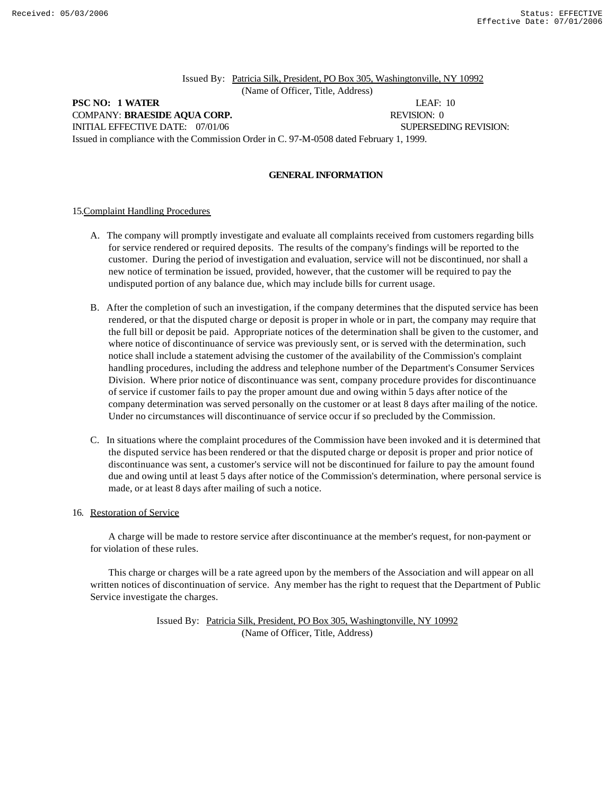Issued By: Patricia Silk, President, PO Box 305, Washingtonville, NY 10992 (Name of Officer, Title, Address)

## **PSC NO: 1 WATER** LEAF: 10 COMPANY: **BRAESIDE AQUA CORP.** REVISION: 0 INITIAL EFFECTIVE DATE:  $07/01/06$  SUPERSEDING REVISION: Issued in compliance with the Commission Order in C. 97-M-0508 dated February 1, 1999.

#### **GENERAL INFORMATION**

#### 15.Complaint Handling Procedures

- A. The company will promptly investigate and evaluate all complaints received from customers regarding bills for service rendered or required deposits. The results of the company's findings will be reported to the customer. During the period of investigation and evaluation, service will not be discontinued, nor shall a new notice of termination be issued, provided, however, that the customer will be required to pay the undisputed portion of any balance due, which may include bills for current usage.
- B. After the completion of such an investigation, if the company determines that the disputed service has been rendered, or that the disputed charge or deposit is proper in whole or in part, the company may require that the full bill or deposit be paid. Appropriate notices of the determination shall be given to the customer, and where notice of discontinuance of service was previously sent, or is served with the determination, such notice shall include a statement advising the customer of the availability of the Commission's complaint handling procedures, including the address and telephone number of the Department's Consumer Services Division. Where prior notice of discontinuance was sent, company procedure provides for discontinuance of service if customer fails to pay the proper amount due and owing within 5 days after notice of the company determination was served personally on the customer or at least 8 days after mailing of the notice. Under no circumstances will discontinuance of service occur if so precluded by the Commission.
- C. In situations where the complaint procedures of the Commission have been invoked and it is determined that the disputed service has been rendered or that the disputed charge or deposit is proper and prior notice of discontinuance was sent, a customer's service will not be discontinued for failure to pay the amount found due and owing until at least 5 days after notice of the Commission's determination, where personal service is made, or at least 8 days after mailing of such a notice.

### 16. Restoration of Service

 A charge will be made to restore service after discontinuance at the member's request, for non-payment or for violation of these rules.

 This charge or charges will be a rate agreed upon by the members of the Association and will appear on all written notices of discontinuation of service. Any member has the right to request that the Department of Public Service investigate the charges.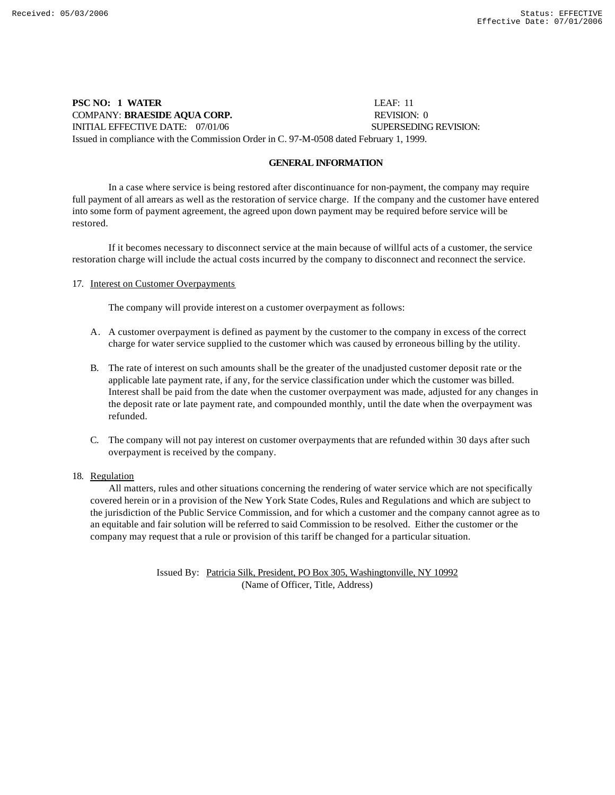**PSC NO: 1 WATER** LEAF: 11 COMPANY: **BRAESIDE AQUA CORP.** REVISION: 0 INITIAL EFFECTIVE DATE: 07/01/06 SUPERSEDING REVISION: Issued in compliance with the Commission Order in C. 97-M-0508 dated February 1, 1999.

## **GENERAL INFORMATION**

In a case where service is being restored after discontinuance for non-payment, the company may require full payment of all arrears as well as the restoration of service charge. If the company and the customer have entered into some form of payment agreement, the agreed upon down payment may be required before service will be restored.

If it becomes necessary to disconnect service at the main because of willful acts of a customer, the service restoration charge will include the actual costs incurred by the company to disconnect and reconnect the service.

#### 17. Interest on Customer Overpayments

The company will provide interest on a customer overpayment as follows:

- A. A customer overpayment is defined as payment by the customer to the company in excess of the correct charge for water service supplied to the customer which was caused by erroneous billing by the utility.
- B. The rate of interest on such amounts shall be the greater of the unadjusted customer deposit rate or the applicable late payment rate, if any, for the service classification under which the customer was billed. Interest shall be paid from the date when the customer overpayment was made, adjusted for any changes in the deposit rate or late payment rate, and compounded monthly, until the date when the overpayment was refunded.
- C. The company will not pay interest on customer overpayments that are refunded within 30 days after such overpayment is received by the company.

#### 18. Regulation

 All matters, rules and other situations concerning the rendering of water service which are not specifically covered herein or in a provision of the New York State Codes, Rules and Regulations and which are subject to the jurisdiction of the Public Service Commission, and for which a customer and the company cannot agree as to an equitable and fair solution will be referred to said Commission to be resolved. Either the customer or the company may request that a rule or provision of this tariff be changed for a particular situation.